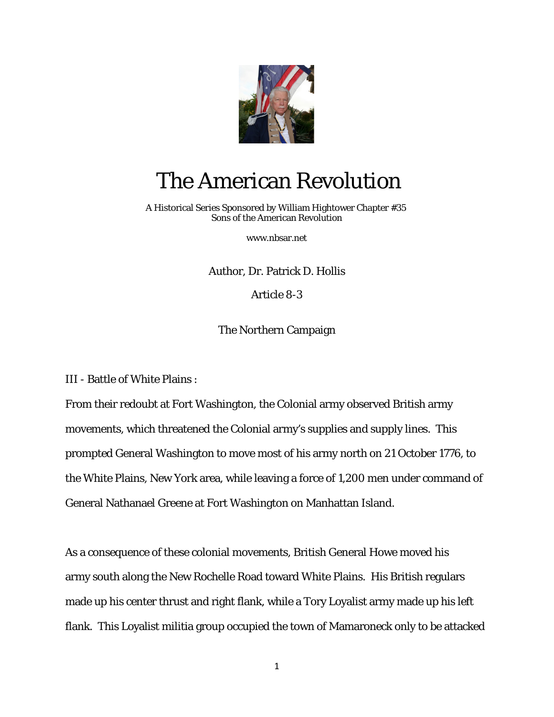

## The American Revolution

 A Historical Series Sponsored by William Hightower Chapter #35 Sons of the American Revolution

[www.nbsar.net](http://www.nbsar.net/)

Author, Dr. Patrick D. Hollis

Article 8-3

The Northern Campaign

III - Battle of White Plains :

From their redoubt at Fort Washington, the Colonial army observed British army movements, which threatened the Colonial army's supplies and supply lines. This prompted General Washington to move most of his army north on 21 October 1776, to the White Plains, New York area, while leaving a force of 1,200 men under command of General Nathanael Greene at Fort Washington on Manhattan Island.

As a consequence of these colonial movements, British General Howe moved his army south along the New Rochelle Road toward White Plains. His British regulars made up his center thrust and right flank, while a Tory Loyalist army made up his left flank. This Loyalist militia group occupied the town of Mamaroneck only to be attacked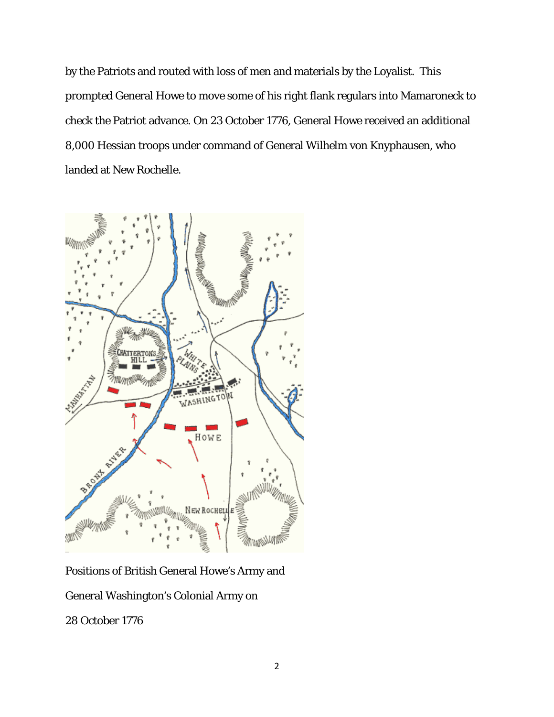by the Patriots and routed with loss of men and materials by the Loyalist. This prompted General Howe to move some of his right flank regulars into Mamaroneck to check the Patriot advance. On 23 October 1776, General Howe received an additional 8,000 Hessian troops under command of General Wilhelm von Knyphausen, who landed at New Rochelle.



Positions of British General Howe's Army and

General Washington's Colonial Army on

28 October 1776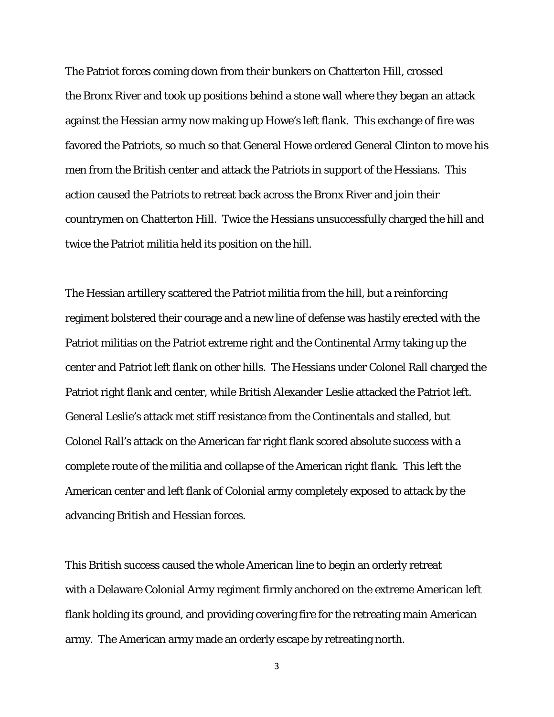The Patriot forces coming down from their bunkers on Chatterton Hill, crossed the Bronx River and took up positions behind a stone wall where they began an attack against the Hessian army now making up Howe's left flank. This exchange of fire was favored the Patriots, so much so that General Howe ordered General Clinton to move his men from the British center and attack the Patriots in support of the Hessians. This action caused the Patriots to retreat back across the Bronx River and join their countrymen on Chatterton Hill. Twice the Hessians unsuccessfully charged the hill and twice the Patriot militia held its position on the hill.

The Hessian artillery scattered the Patriot militia from the hill, but a reinforcing regiment bolstered their courage and a new line of defense was hastily erected with the Patriot militias on the Patriot extreme right and the Continental Army taking up the center and Patriot left flank on other hills. The Hessians under Colonel Rall charged the Patriot right flank and center, while British Alexander Leslie attacked the Patriot left. General Leslie's attack met stiff resistance from the Continentals and stalled, but Colonel Rall's attack on the American far right flank scored absolute success with a complete route of the militia and collapse of the American right flank. This left the American center and left flank of Colonial army completely exposed to attack by the advancing British and Hessian forces.

This British success caused the whole American line to begin an orderly retreat with a Delaware Colonial Army regiment firmly anchored on the extreme American left flank holding its ground, and providing covering fire for the retreating main American army. The American army made an orderly escape by retreating north.

<sup>3</sup>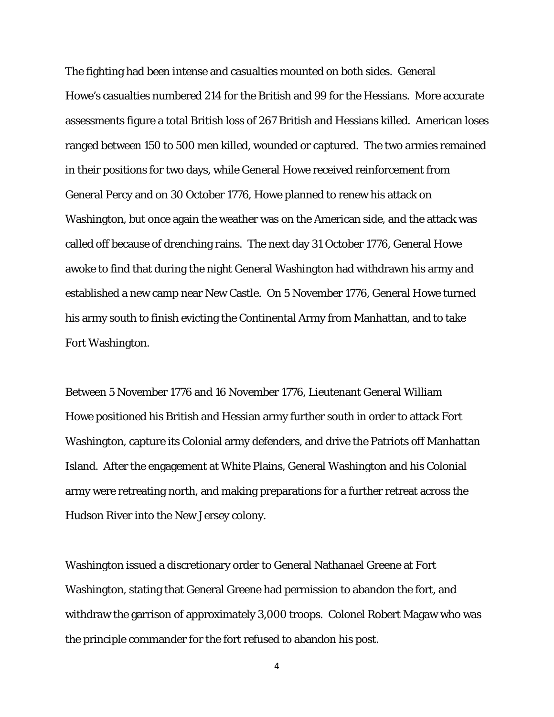The fighting had been intense and casualties mounted on both sides. General Howe's casualties numbered 214 for the British and 99 for the Hessians. More accurate assessments figure a total British loss of 267 British and Hessians killed. American loses ranged between 150 to 500 men killed, wounded or captured. The two armies remained in their positions for two days, while General Howe received reinforcement from General Percy and on 30 October 1776, Howe planned to renew his attack on Washington, but once again the weather was on the American side, and the attack was called off because of drenching rains. The next day 31 October 1776, General Howe awoke to find that during the night General Washington had withdrawn his army and established a new camp near New Castle. On 5 November 1776, General Howe turned his army south to finish evicting the Continental Army from Manhattan, and to take Fort Washington.

Between 5 November 1776 and 16 November 1776, Lieutenant General William Howe positioned his British and Hessian army further south in order to attack Fort Washington, capture its Colonial army defenders, and drive the Patriots off Manhattan Island. After the engagement at White Plains, General Washington and his Colonial army were retreating north, and making preparations for a further retreat across the Hudson River into the New Jersey colony.

Washington issued a discretionary order to General Nathanael Greene at Fort Washington, stating that General Greene had permission to abandon the fort, and withdraw the garrison of approximately 3,000 troops. Colonel Robert Magaw who was the principle commander for the fort refused to abandon his post.

4